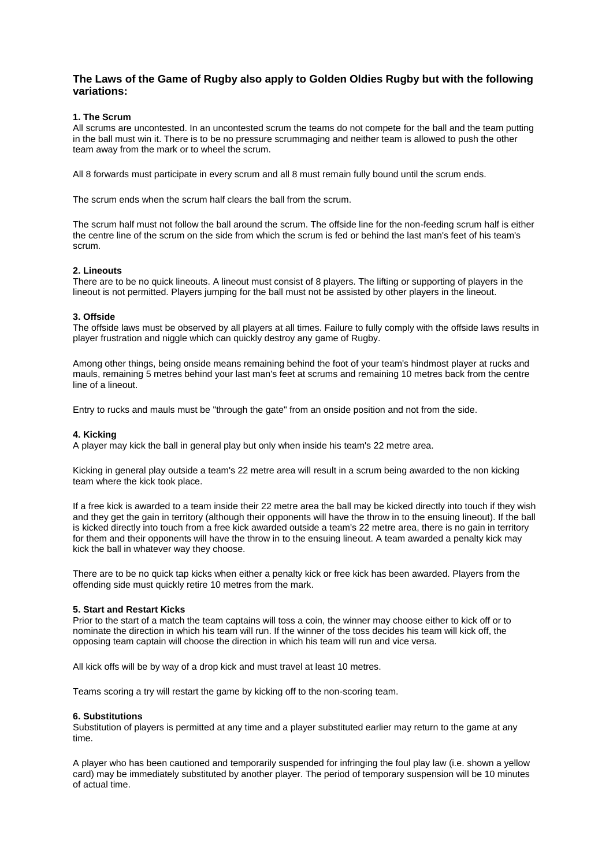# **The Laws of the Game of Rugby also apply to Golden Oldies Rugby but with the following variations:**

## **1. The Scrum**

All scrums are uncontested. In an uncontested scrum the teams do not compete for the ball and the team putting in the ball must win it. There is to be no pressure scrummaging and neither team is allowed to push the other team away from the mark or to wheel the scrum.

All 8 forwards must participate in every scrum and all 8 must remain fully bound until the scrum ends.

The scrum ends when the scrum half clears the ball from the scrum.

The scrum half must not follow the ball around the scrum. The offside line for the non-feeding scrum half is either the centre line of the scrum on the side from which the scrum is fed or behind the last man's feet of his team's scrum.

### **2. Lineouts**

There are to be no quick lineouts. A lineout must consist of 8 players. The lifting or supporting of players in the lineout is not permitted. Players jumping for the ball must not be assisted by other players in the lineout.

### **3. Offside**

The offside laws must be observed by all players at all times. Failure to fully comply with the offside laws results in player frustration and niggle which can quickly destroy any game of Rugby.

Among other things, being onside means remaining behind the foot of your team's hindmost player at rucks and mauls, remaining 5 metres behind your last man's feet at scrums and remaining 10 metres back from the centre line of a lineout.

Entry to rucks and mauls must be "through the gate" from an onside position and not from the side.

### **4. Kicking**

A player may kick the ball in general play but only when inside his team's 22 metre area.

Kicking in general play outside a team's 22 metre area will result in a scrum being awarded to the non kicking team where the kick took place.

If a free kick is awarded to a team inside their 22 metre area the ball may be kicked directly into touch if they wish and they get the gain in territory (although their opponents will have the throw in to the ensuing lineout). If the ball is kicked directly into touch from a free kick awarded outside a team's 22 metre area, there is no gain in territory for them and their opponents will have the throw in to the ensuing lineout. A team awarded a penalty kick may kick the ball in whatever way they choose.

There are to be no quick tap kicks when either a penalty kick or free kick has been awarded. Players from the offending side must quickly retire 10 metres from the mark.

## **5. Start and Restart Kicks**

Prior to the start of a match the team captains will toss a coin, the winner may choose either to kick off or to nominate the direction in which his team will run. If the winner of the toss decides his team will kick off, the opposing team captain will choose the direction in which his team will run and vice versa.

All kick offs will be by way of a drop kick and must travel at least 10 metres.

Teams scoring a try will restart the game by kicking off to the non-scoring team.

#### **6. Substitutions**

Substitution of players is permitted at any time and a player substituted earlier may return to the game at any time.

A player who has been cautioned and temporarily suspended for infringing the foul play law (i.e. shown a yellow card) may be immediately substituted by another player. The period of temporary suspension will be 10 minutes of actual time.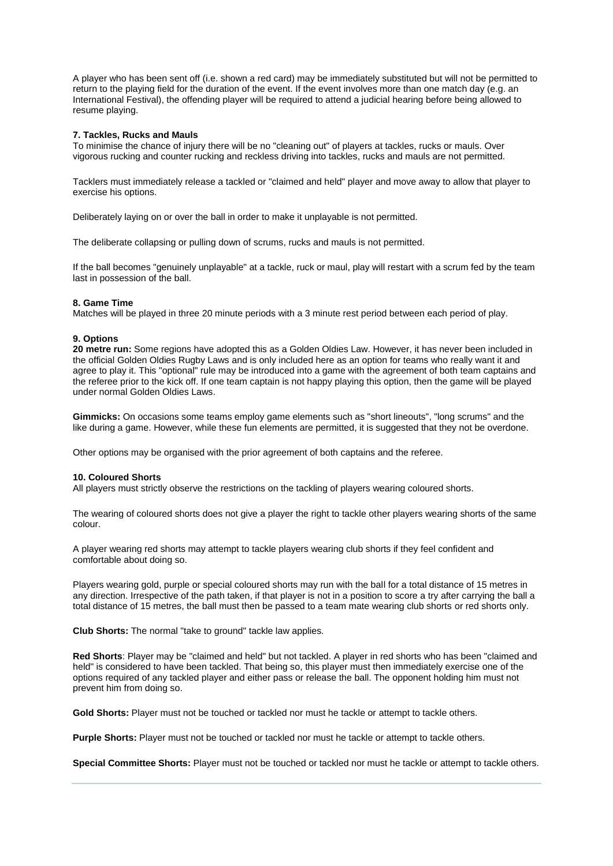A player who has been sent off (i.e. shown a red card) may be immediately substituted but will not be permitted to return to the playing field for the duration of the event. If the event involves more than one match day (e.g. an International Festival), the offending player will be required to attend a judicial hearing before being allowed to resume playing.

## **7. Tackles, Rucks and Mauls**

To minimise the chance of injury there will be no "cleaning out" of players at tackles, rucks or mauls. Over vigorous rucking and counter rucking and reckless driving into tackles, rucks and mauls are not permitted.

Tacklers must immediately release a tackled or "claimed and held" player and move away to allow that player to exercise his options.

Deliberately laying on or over the ball in order to make it unplayable is not permitted.

The deliberate collapsing or pulling down of scrums, rucks and mauls is not permitted.

If the ball becomes "genuinely unplayable" at a tackle, ruck or maul, play will restart with a scrum fed by the team last in possession of the ball.

### **8. Game Time**

Matches will be played in three 20 minute periods with a 3 minute rest period between each period of play.

### **9. Options**

**20 metre run:** Some regions have adopted this as a Golden Oldies Law. However, it has never been included in the official Golden Oldies Rugby Laws and is only included here as an option for teams who really want it and agree to play it. This "optional" rule may be introduced into a game with the agreement of both team captains and the referee prior to the kick off. If one team captain is not happy playing this option, then the game will be played under normal Golden Oldies Laws.

**Gimmicks:** On occasions some teams employ game elements such as "short lineouts", "long scrums" and the like during a game. However, while these fun elements are permitted, it is suggested that they not be overdone.

Other options may be organised with the prior agreement of both captains and the referee.

#### **10. Coloured Shorts**

All players must strictly observe the restrictions on the tackling of players wearing coloured shorts.

The wearing of coloured shorts does not give a player the right to tackle other players wearing shorts of the same colour.

A player wearing red shorts may attempt to tackle players wearing club shorts if they feel confident and comfortable about doing so.

Players wearing gold, purple or special coloured shorts may run with the ball for a total distance of 15 metres in any direction. Irrespective of the path taken, if that player is not in a position to score a try after carrying the ball a total distance of 15 metres, the ball must then be passed to a team mate wearing club shorts or red shorts only.

**Club Shorts:** The normal "take to ground" tackle law applies.

**Red Shorts**: Player may be "claimed and held" but not tackled. A player in red shorts who has been "claimed and held" is considered to have been tackled. That being so, this player must then immediately exercise one of the options required of any tackled player and either pass or release the ball. The opponent holding him must not prevent him from doing so.

Gold Shorts: Player must not be touched or tackled nor must he tackle or attempt to tackle others.

**Purple Shorts:** Player must not be touched or tackled nor must he tackle or attempt to tackle others.

**Special Committee Shorts:** Player must not be touched or tackled nor must he tackle or attempt to tackle others.